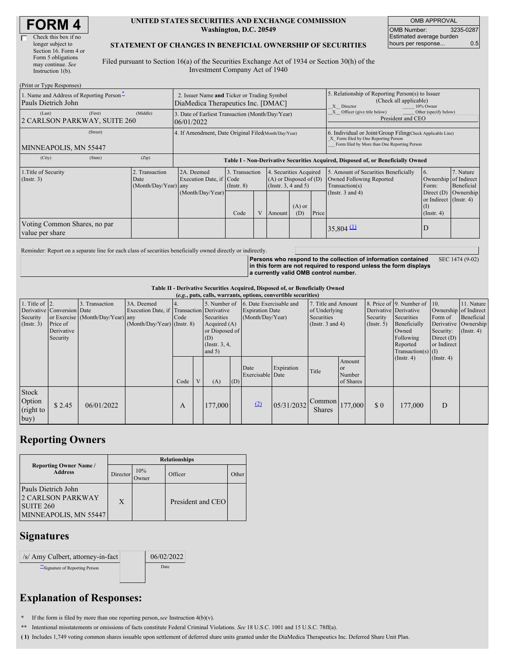#### **UNITED STATES SECURITIES AND EXCHANGE COMMISSION Washington, D.C. 20549**

OMB APPROVAL OMB Number: 3235-0287 Estimated average burden hours per response... 0.5

#### **STATEMENT OF CHANGES IN BENEFICIAL OWNERSHIP OF SECURITIES**

Filed pursuant to Section 16(a) of the Securities Exchange Act of 1934 or Section 30(h) of the Investment Company Act of 1940

| (Print or Type Responses)                                                                 |                                                                                   |                                                                                  |                                   |   |                                                                              |                 |                                                                                                       |                                                                                                                                                    |                                                                   |           |  |
|-------------------------------------------------------------------------------------------|-----------------------------------------------------------------------------------|----------------------------------------------------------------------------------|-----------------------------------|---|------------------------------------------------------------------------------|-----------------|-------------------------------------------------------------------------------------------------------|----------------------------------------------------------------------------------------------------------------------------------------------------|-------------------------------------------------------------------|-----------|--|
| 1. Name and Address of Reporting Person <sup>*</sup><br>Pauls Dietrich John               | 2. Issuer Name and Ticker or Trading Symbol<br>DiaMedica Therapeutics Inc. [DMAC] |                                                                                  |                                   |   |                                                                              |                 | 5. Relationship of Reporting Person(s) to Issuer<br>(Check all applicable)<br>X Director<br>10% Owner |                                                                                                                                                    |                                                                   |           |  |
| (First)<br>(Last)<br>2 CARLSON PARKWAY, SUITE 260                                         | (Middle)                                                                          | 3. Date of Earliest Transaction (Month/Day/Year)<br>06/01/2022                   |                                   |   |                                                                              |                 |                                                                                                       | Officer (give title below)<br>Other (specify below)<br>President and CEO                                                                           |                                                                   |           |  |
| (Street)<br>MINNEAPOLIS, MN 55447                                                         |                                                                                   | 4. If Amendment, Date Original Filed (Month/Day/Year)                            |                                   |   |                                                                              |                 |                                                                                                       | 6. Individual or Joint/Group Filing(Check Applicable Line)<br>X Form filed by One Reporting Person<br>Form filed by More than One Reporting Person |                                                                   |           |  |
| (City)<br>(State)                                                                         | (Zip)                                                                             | Table I - Non-Derivative Securities Acquired, Disposed of, or Beneficially Owned |                                   |   |                                                                              |                 |                                                                                                       |                                                                                                                                                    |                                                                   |           |  |
| 1. Title of Security<br>. Transaction<br>$($ Instr. 3 $)$<br>Date<br>(Month/Day/Year) any |                                                                                   | 2A. Deemed<br>Execution Date, if Code                                            | 3. Transaction<br>$($ Instr. $8)$ |   | 4. Securities Acquired<br>$(A)$ or Disposed of $(D)$<br>(Insert. 3, 4 and 5) |                 |                                                                                                       | 5. Amount of Securities Beneficially<br>Owned Following Reported<br>Transaction(s)                                                                 | 6.<br>7. Nature<br>Ownership of Indirect<br>Beneficial<br>Form:   |           |  |
|                                                                                           |                                                                                   | (Month/Day/Year)                                                                 | Code                              | V | Amount                                                                       | $(A)$ or<br>(D) | Price                                                                                                 | (Instr. $3$ and $4$ )                                                                                                                              | Direct $(D)$<br>or Indirect (Instr. 4)<br>(I)<br>$($ Instr. 4 $)$ | Ownership |  |
| Voting Common Shares, no par<br>value per share                                           |                                                                                   |                                                                                  |                                   |   |                                                                              |                 |                                                                                                       | $35,804$ $(1)$                                                                                                                                     | D                                                                 |           |  |

Reminder: Report on a separate line for each class of securities beneficially owned directly or indirectly.

**Persons who respond to the collection of information contained in this form are not required to respond unless the form displays a currently valid OMB control number.** SEC 1474 (9-02)

**Table II - Derivative Securities Acquired, Disposed of, or Beneficially Owned**

| (e.g., puts, calls, warrants, options, convertible securities) |                                                                  |                                                    |                                                                                          |      |   |                                                                                      |     |                                                                                    |            |                                                                             |                                            |                                                  |                                                                                                                      |                                                                              |                                                                      |
|----------------------------------------------------------------|------------------------------------------------------------------|----------------------------------------------------|------------------------------------------------------------------------------------------|------|---|--------------------------------------------------------------------------------------|-----|------------------------------------------------------------------------------------|------------|-----------------------------------------------------------------------------|--------------------------------------------|--------------------------------------------------|----------------------------------------------------------------------------------------------------------------------|------------------------------------------------------------------------------|----------------------------------------------------------------------|
| 1. Title of $ 2$ .<br>Security<br>(Insert. 3)                  | Derivative Conversion Date<br>Price of<br>Derivative<br>Security | 3. Transaction<br>or Exercise (Month/Day/Year) any | 3A. Deemed<br>Execution Date, if Transaction Derivative<br>$(Month/Day/Year)$ (Instr. 8) | Code |   | Securities<br>Acquired $(A)$<br>or Disposed of<br>(D)<br>(Instr. $3, 4,$<br>and $5)$ |     | 5. Number of 6. Date Exercisable and<br><b>Expiration Date</b><br>(Month/Day/Year) |            | 7. Title and Amount<br>of Underlying<br>Securities<br>(Instr. $3$ and $4$ ) |                                            | Derivative Derivative<br>Security<br>(Insert. 5) | 8. Price of 9. Number of 10.<br>Securities<br>Beneficially<br>Owned<br>Following<br>Reported<br>$Transaction(s)$ (I) | Ownership of Indirect<br>Form of<br>Security:<br>Direct $(D)$<br>or Indirect | 11. Nature<br>Beneficial<br>Derivative Ownership<br>$($ Instr. 4 $)$ |
|                                                                |                                                                  |                                                    |                                                                                          | Code | V | (A)                                                                                  | (D) | Date<br>Exercisable Date                                                           | Expiration | Title                                                                       | Amount<br><b>or</b><br>Number<br>of Shares |                                                  | $($ Instr. 4 $)$                                                                                                     | $($ Instr. 4 $)$                                                             |                                                                      |
| Stock<br>Option<br>(right to<br>buy)                           | \$2.45                                                           | 06/01/2022                                         |                                                                                          | A    |   | 177,000                                                                              |     | (2)                                                                                | 05/31/2032 | Common<br><b>Shares</b>                                                     | 177,000                                    | \$0                                              | 177,000                                                                                                              | D                                                                            |                                                                      |

## **Reporting Owners**

|                                                                                                  | <b>Relationships</b> |                     |                   |       |  |  |  |  |
|--------------------------------------------------------------------------------------------------|----------------------|---------------------|-------------------|-------|--|--|--|--|
| <b>Reporting Owner Name /</b><br><b>Address</b>                                                  | Director             | 10%<br><b>Jwner</b> | Officer           | Other |  |  |  |  |
| Pauls Dietrich John<br><b>2 CARLSON PARKWAY</b><br>SUITE <sub>260</sub><br>MINNEAPOLIS, MN 55447 | X                    |                     | President and CEO |       |  |  |  |  |

# **Signatures**

| /s/ Amy Culbert, attorney-in-fact | 06/02/2022 |
|-----------------------------------|------------|
| "Signature of Reporting Person    | Date       |
|                                   |            |

## **Explanation of Responses:**

**\*** If the form is filed by more than one reporting person,*see* Instruction 4(b)(v).

**\*\*** Intentional misstatements or omissions of facts constitute Federal Criminal Violations. *See* 18 U.S.C. 1001 and 15 U.S.C. 78ff(a).

**( 1)** Includes 1,749 voting common shares issuable upon settlement of deferred share units granted under the DiaMedica Therapeutics Inc. Deferred Share Unit Plan.